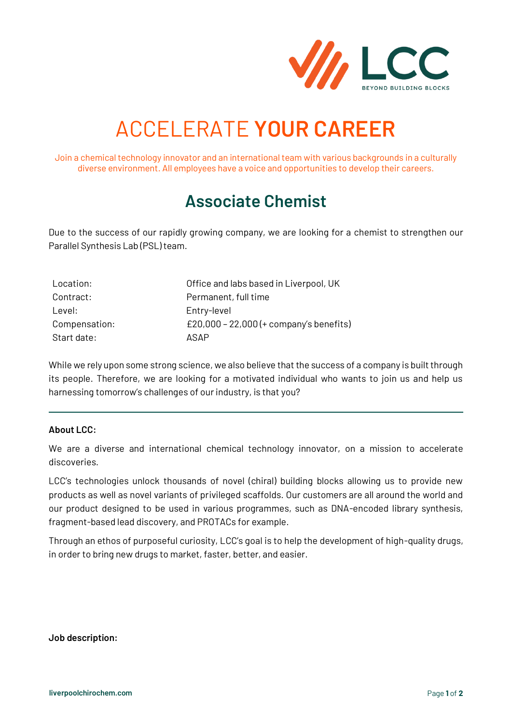

# ACCELERATE **YOUR CAREER**

Join a chemical technology innovator and an international team with various backgrounds in a culturally diverse environment. All employees have a voice and opportunities to develop their careers.

## **Associate Chemist**

Due to the success of our rapidly growing company, we are looking for a chemist to strengthen our Parallel Synthesis Lab (PSL) team.

| Location:     | Office and labs based in Liverpool, UK  |
|---------------|-----------------------------------------|
| Contract:     | Permanent, full time                    |
| Level:        | Entry-level                             |
| Compensation: | £20,000 - 22,000 (+ company's benefits) |
| Start date:   | ASAP                                    |

While we rely upon some strong science, we also believe that the success of a company is built through its people. Therefore, we are looking for a motivated individual who wants to join us and help us harnessing tomorrow's challenges of our industry, is that you?

#### **About LCC:**

We are a diverse and international chemical technology innovator, on a mission to accelerate discoveries.

LCC's technologies unlock thousands of novel (chiral) building blocks allowing us to provide new products as well as novel variants of privileged scaffolds. Our customers are all around the world and our product designed to be used in various programmes, such as DNA-encoded library synthesis, fragment-based lead discovery, and PROTACs for example.

Through an ethos of purposeful curiosity, LCC's goal is to help the development of high-quality drugs, in order to bring new drugs to market, faster, better, and easier.

**Job description:**